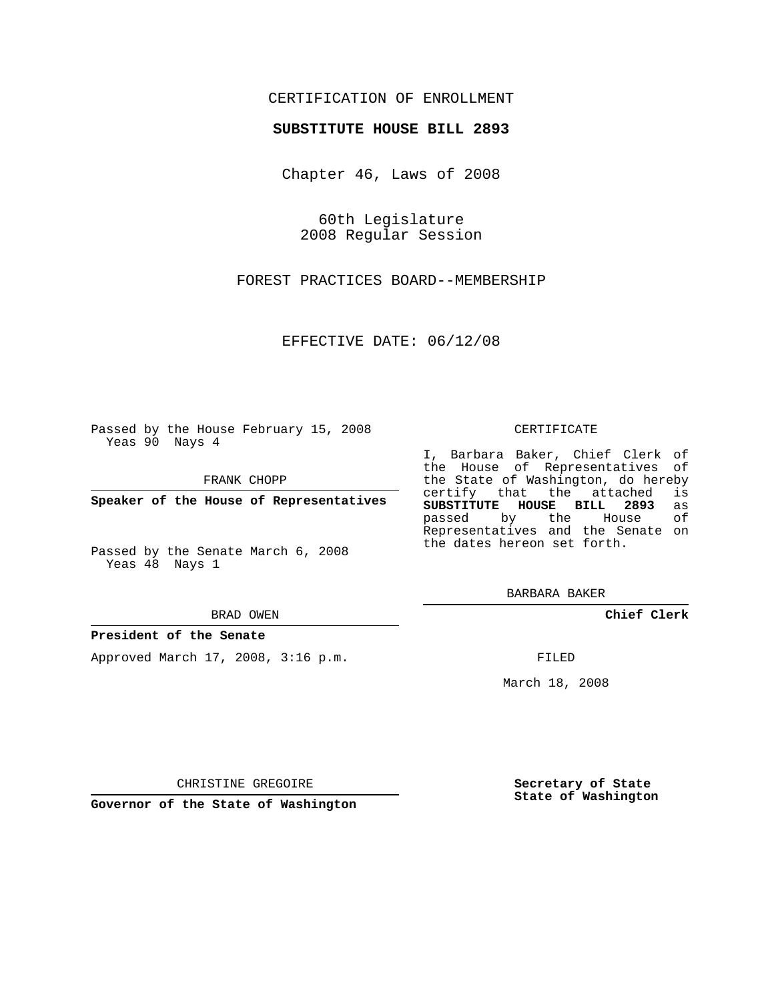## CERTIFICATION OF ENROLLMENT

### **SUBSTITUTE HOUSE BILL 2893**

Chapter 46, Laws of 2008

60th Legislature 2008 Regular Session

FOREST PRACTICES BOARD--MEMBERSHIP

EFFECTIVE DATE: 06/12/08

Passed by the House February 15, 2008 Yeas 90 Nays 4

FRANK CHOPP

**Speaker of the House of Representatives**

Passed by the Senate March 6, 2008 Yeas 48 Nays 1

#### BRAD OWEN

### **President of the Senate**

Approved March 17, 2008, 3:16 p.m.

#### CERTIFICATE

I, Barbara Baker, Chief Clerk of the House of Representatives of the State of Washington, do hereby<br>certify that the attached is certify that the attached **SUBSTITUTE HOUSE BILL 2893** as passed by the House Representatives and the Senate on the dates hereon set forth.

BARBARA BAKER

**Chief Clerk**

FILED

March 18, 2008

CHRISTINE GREGOIRE

**Governor of the State of Washington**

**Secretary of State State of Washington**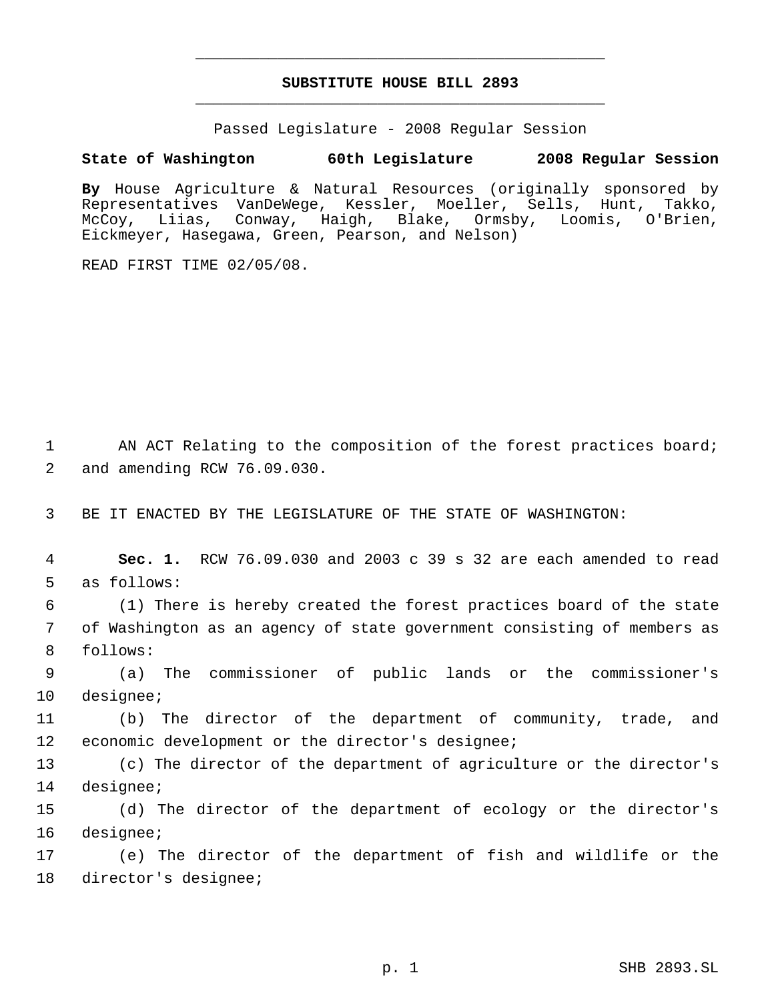# **SUBSTITUTE HOUSE BILL 2893** \_\_\_\_\_\_\_\_\_\_\_\_\_\_\_\_\_\_\_\_\_\_\_\_\_\_\_\_\_\_\_\_\_\_\_\_\_\_\_\_\_\_\_\_\_

\_\_\_\_\_\_\_\_\_\_\_\_\_\_\_\_\_\_\_\_\_\_\_\_\_\_\_\_\_\_\_\_\_\_\_\_\_\_\_\_\_\_\_\_\_

Passed Legislature - 2008 Regular Session

## **State of Washington 60th Legislature 2008 Regular Session**

**By** House Agriculture & Natural Resources (originally sponsored by Representatives VanDeWege, Kessler, Moeller, Sells, Hunt, Takko, McCoy, Liias, Conway, Haigh, Blake, Ormsby, Loomis, O'Brien, Eickmeyer, Hasegawa, Green, Pearson, and Nelson)

READ FIRST TIME 02/05/08.

1 AN ACT Relating to the composition of the forest practices board; 2 and amending RCW 76.09.030.

3 BE IT ENACTED BY THE LEGISLATURE OF THE STATE OF WASHINGTON:

 4 **Sec. 1.** RCW 76.09.030 and 2003 c 39 s 32 are each amended to read 5 as follows:

 6 (1) There is hereby created the forest practices board of the state 7 of Washington as an agency of state government consisting of members as 8 follows:

 9 (a) The commissioner of public lands or the commissioner's 10 designee;

11 (b) The director of the department of community, trade, and 12 economic development or the director's designee;

13 (c) The director of the department of agriculture or the director's 14 designee;

15 (d) The director of the department of ecology or the director's 16 designee;

17 (e) The director of the department of fish and wildlife or the 18 director's designee;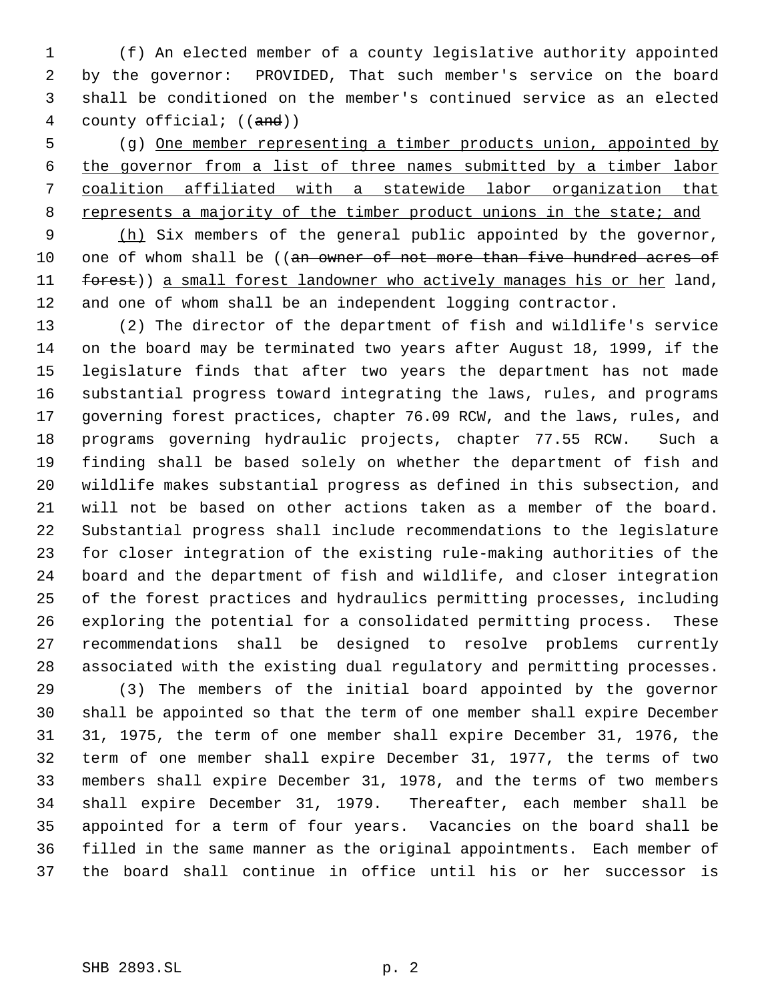(f) An elected member of a county legislative authority appointed by the governor: PROVIDED, That such member's service on the board shall be conditioned on the member's continued service as an elected 4 county official; ((and))

 (g) One member representing a timber products union, appointed by the governor from a list of three names submitted by a timber labor coalition affiliated with a statewide labor organization that 8 represents a majority of the timber product unions in the state; and

9 (h) Six members of the general public appointed by the governor, 10 one of whom shall be ((an owner of not more than five hundred acres of 11 forest)) a small forest landowner who actively manages his or her land, and one of whom shall be an independent logging contractor.

 (2) The director of the department of fish and wildlife's service on the board may be terminated two years after August 18, 1999, if the legislature finds that after two years the department has not made substantial progress toward integrating the laws, rules, and programs governing forest practices, chapter 76.09 RCW, and the laws, rules, and programs governing hydraulic projects, chapter 77.55 RCW. Such a finding shall be based solely on whether the department of fish and wildlife makes substantial progress as defined in this subsection, and will not be based on other actions taken as a member of the board. Substantial progress shall include recommendations to the legislature for closer integration of the existing rule-making authorities of the board and the department of fish and wildlife, and closer integration of the forest practices and hydraulics permitting processes, including exploring the potential for a consolidated permitting process. These recommendations shall be designed to resolve problems currently associated with the existing dual regulatory and permitting processes.

 (3) The members of the initial board appointed by the governor shall be appointed so that the term of one member shall expire December 31, 1975, the term of one member shall expire December 31, 1976, the term of one member shall expire December 31, 1977, the terms of two members shall expire December 31, 1978, and the terms of two members shall expire December 31, 1979. Thereafter, each member shall be appointed for a term of four years. Vacancies on the board shall be filled in the same manner as the original appointments. Each member of the board shall continue in office until his or her successor is